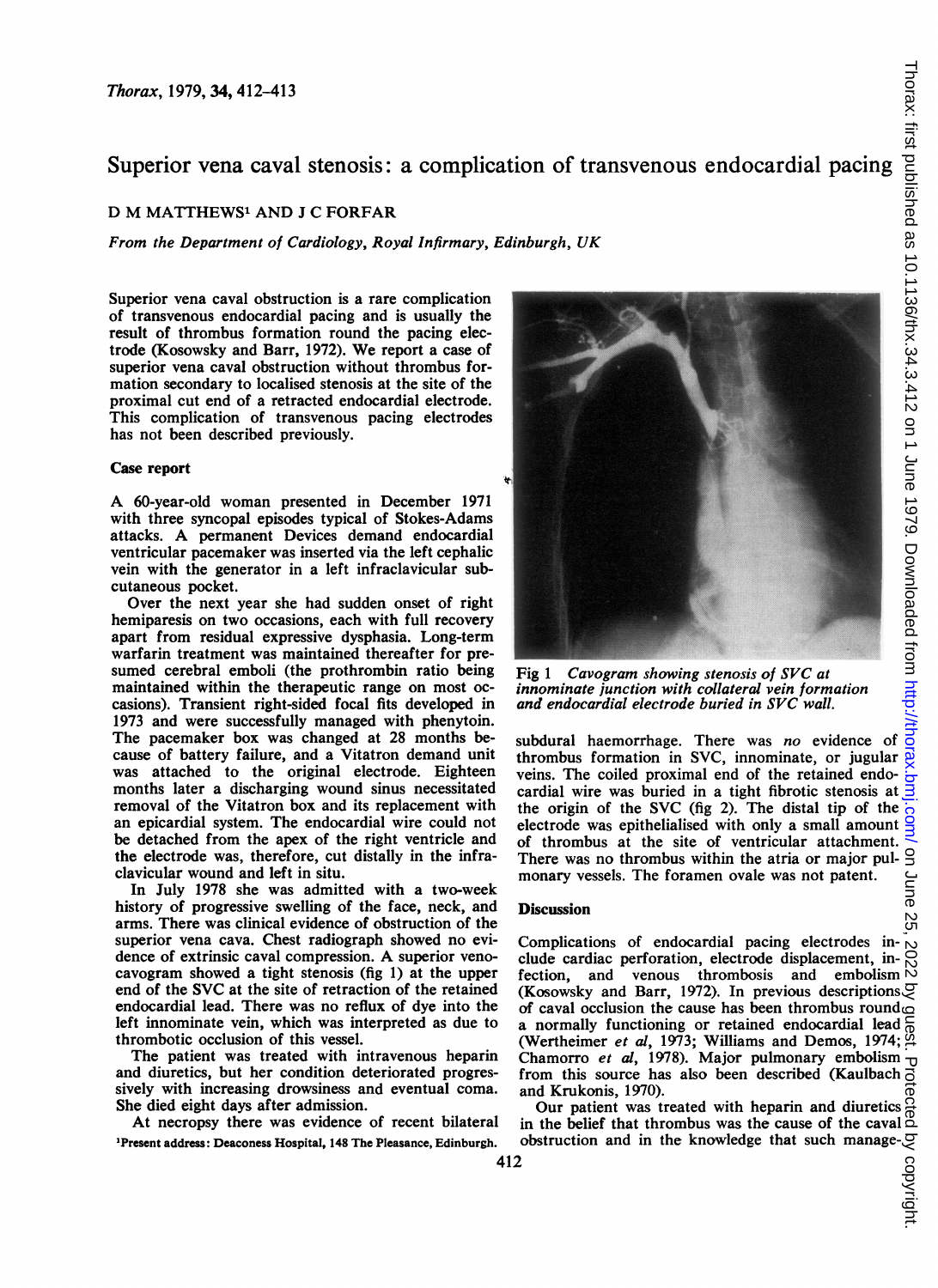# Superior vena caval stenosis: a complication of transvenous endocardial pacing

## D M MATTHEWS' AND <sup>J</sup> C FORFAR

From the Department of Cardiology, Royal Infirmary, Edinburgh, UK

Superior vena caval obstruction is a rare complication of transvenous endocardial pacing and is usually the result of thrombus formation round the pacing electrode (Kosowsky and Barr, 1972). We report <sup>a</sup> case of superior vena caval obstruction without thrombus formation secondary to localised stenosis at the site of the proximal cut end of a retracted endocardial electrode. This complication of transvenous pacing electrodes has not been described previously.

### Case report

A 60-year-old woman presented in December <sup>1971</sup> with three syncopal episodes typical of Stokes-Adams attacks. A permanent Devices demand endocardial ventricular pacemaker was inserted via the left cephalic vein with the generator in a left infraclavicular subcutaneous pocket.

Over the next year she had sudden onset of right hemiparesis on two occasions, each with full recovery apart from residual expressive dysphasia. Long-term warfarin treatment was maintained thereafter for presumed cerebral emboli (the prothrombin ratio being maintained within the therapeutic range on most occasions). Transient right-sided focal fits developed in 1973 and were successfully managed with phenytoin. The pacemaker box was changed at 28 months because of battery failure, and a Vitatron demand unit was attached to the original electrode. Eighteen months later a discharging wound sinus necessitated removal of the Vitatron box and its replacement with an epicardial system. The endocardial wire could not be detached from the apex of the right ventricle and the electrode was, therefore, cut distally in the infraclavicular wound and left in situ.

In July 1978 she was admitted with a two-week history of progressive swelling of the face, neck, and arms. There was clinical evidence of obstruction of the superior vena cava. Chest radiograph showed no evidence of extrinsic caval compression. A superior venocavogram showed a tight stenosis (fig 1) at the upper end of the SVC at the site of retraction of the retained endocardial lead. There was no reflux of dye into the left innominate vein, which was interpreted as due to thrombotic occlusion of this vessel.

The patient was treated with intravenous heparin and diuretics, but her condition deteriorated progressively with increasing drowsiness and eventual coma. She died eight days after admission.

At necropsy there was evidence of recent bilateral 'Present address: Deaconess Hospital, 148 The Pleasance, Edinburgh.



Fig <sup>1</sup> Cavogram showing stenosis of SVC at innominate junction with collateral vein formation and endocardial electrode buried in SVC wall.

subdural haemorrhage. There was no evidence of thrombus formation in SVC, innominate, or jugular veins. The coiled proximal end of the retained endocardial wire was buried in a tight fibrotic stenosis at the origin of the SVC (fig 2). The distal tip of the electrode was epithelialised with only a small amount of thrombus at the site of ventricular attachment. There was no thrombus within the atria or major pulmonary vessels. The foramen ovale was not patent.

#### **Discussion**

Complications of endocardial pacing electrodes include cardiac perforation, electrode displacement, in-Fectrodes in-<br>Solution, electrode displacement, in-<br> $\bigcirc$  venous thrombosis and embolism  $\bigcirc$ <br>is Barr, 1972). In previous description the cause of (Kosowsky and Barr, 1972). In previous descriptions  $G$ of caval occlusion the cause has been thrombus round a normally functioning or retained endocardial lead (Wertheimer et al, 1973; Williams and Demos, 1974; Chamorro et al, 1978). Major pulmonary embolism from this source has also been described (Kaulbach  $\overline{0}$ and Krukonis, 1970).

Our patient was treated with heparin and diuretics in the belief that thrombus was the cause of the caval In the belief that infollows was the cause of the cavalent<br>obstruction and in the knowledge that such manage- $\frac{50}{2}$ <br>2<br> $\frac{50}{2}$ <br> $\frac{10}{2}$